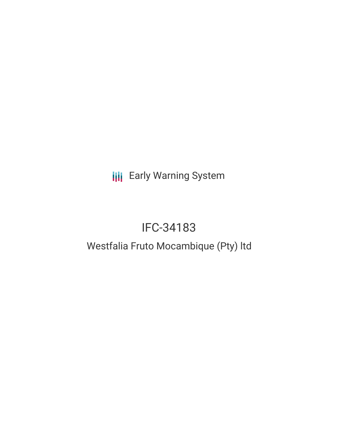**III** Early Warning System

# IFC-34183

## Westfalia Fruto Mocambique (Pty) ltd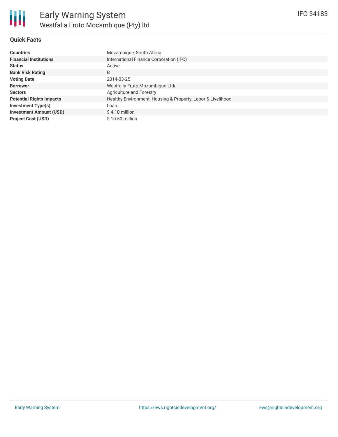

## **Quick Facts**

| <b>Countries</b>                | Mozambique, South Africa                                    |  |  |  |
|---------------------------------|-------------------------------------------------------------|--|--|--|
| <b>Financial Institutions</b>   | International Finance Corporation (IFC)                     |  |  |  |
| <b>Status</b>                   | Active                                                      |  |  |  |
| <b>Bank Risk Rating</b>         | B                                                           |  |  |  |
| <b>Voting Date</b>              | 2014-03-25                                                  |  |  |  |
| <b>Borrower</b>                 | Westfalia Fruto Mozambique Ltda                             |  |  |  |
| <b>Sectors</b>                  | Agriculture and Forestry                                    |  |  |  |
| <b>Potential Rights Impacts</b> | Healthy Environment, Housing & Property, Labor & Livelihood |  |  |  |
| Investment Type(s)              | Loan                                                        |  |  |  |
| <b>Investment Amount (USD)</b>  | $$4.10$ million                                             |  |  |  |
| <b>Project Cost (USD)</b>       | $$10.50$ million                                            |  |  |  |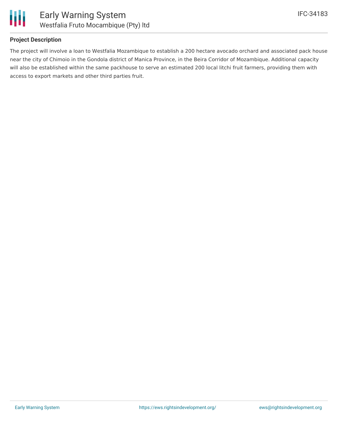

## **Project Description**

The project will involve a loan to Westfalia Mozambique to establish a 200 hectare avocado orchard and associated pack house near the city of Chimoio in the Gondola district of Manica Province, in the Beira Corridor of Mozambique. Additional capacity will also be established within the same packhouse to serve an estimated 200 local litchi fruit farmers, providing them with access to export markets and other third parties fruit.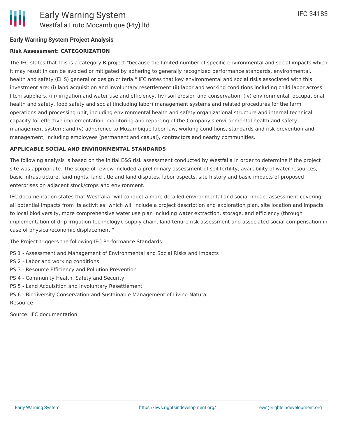## **Risk Assessment: CATEGORIZATION**

The IFC states that this is a category B project "because the limited number of specific environmental and social impacts which it may result in can be avoided or mitigated by adhering to generally recognized performance standards, environmental, health and safety (EHS) general or design criteria." IFC notes that key environmental and social risks associated with this investment are: (i) land acquisition and involuntary resettlement (ii) labor and working conditions including child labor across litchi suppliers, (iii) irrigation and water use and efficiency, (iv) soil erosion and conservation, (iv) environmental, occupational health and safety, food safety and social (including labor) management systems and related procedures for the farm operations and processing unit, including environmental health and safety organizational structure and internal technical capacity for effective implementation, monitoring and reporting of the Company's environmental health and safety management system; and (v) adherence to Mozambique labor law, working conditions, standards and risk prevention and management, including employees (permanent and casual), contractors and nearby communities.

## **APPLICABLE SOCIAL AND ENVIRONMENTAL STANDARDS**

The following analysis is based on the initial E&S risk assessment conducted by Westfalia in order to determine if the project site was appropriate. The scope of review included a preliminary assessment of soil fertility, availability of water resources, basic infrastructure, land rights, land title and land disputes, labor aspects, site history and basic impacts of proposed enterprises on adjacent stock/crops and environment.

IFC documentation states that Westfalia "will conduct a more detailed environmental and social impact assessment covering all potential impacts from its activities, which will include a project description and exploration plan, site location and impacts to local biodiversity, more comprehensive water use plan including water extraction, storage, and efficiency (through implementation of drip irrigation technology), supply chain, land tenure risk assessment and associated social compensation in case of physical/economic displacement."

The Project triggers the following IFC Performance Standards:

- PS 1 Assessment and Management of Environmental and Social Risks and Impacts
- PS 2 Labor and working conditions
- PS 3 Resource Efficiency and Pollution Prevention
- PS 4 Community Health, Safety and Security
- PS 5 Land Acquisition and Involuntary Resettlement
- PS 6 Biodiversity Conservation and Sustainable Management of Living Natural Resource

Source: IFC documentation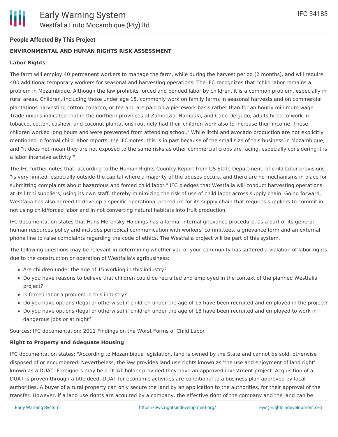

## **People Affected By This Project**

## **ENVIRONMENTAL AND HUMAN RIGHTS RISK ASSESSMENT**

#### **Labor Rights**

The farm will employ 40 permanent workers to manage the farm, while during the harvest period (2 months), and will require 400 additional temporary workers for seasonal and harvesting operations. The IFC recognizes that "child labor remains a problem in Mozambique. Although the law prohibits forced and bonded labor by children, it is a common problem, especially in rural areas. Children, including those under age 15, commonly work on family farms in seasonal harvests and on commercial plantations harvesting cotton, tobacco, or tea and are paid on a piecework basis rather than for an hourly minimum wage. Trade unions indicated that in the northern provinces of Zambezia, Nampula, and Cabo Delgado, adults hired to work in tobacco, cotton, cashew, and coconut plantations routinely had their children work also to increase their income. These children worked long hours and were prevented from attending school." While litchi and avocado production are not explicitly mentioned in formal child labor reports, the IFC notes, this is in part because of the small size of this business in Mozambique, and "it does not mean they are not exposed to the same risks as other commercial crops are facing, especially considering it is a labor intensive activity."

The IFC further notes that, according to the Human Rights Country Report from US State Department, of child labor provisions "is very limited, especially outside the capital where a majority of the abuses occurs, and there are no mechanisms in place for submitting complaints about hazardous and forced child labor." IFC pledges that Westfalia will conduct harvesting operations at its litchi suppliers, using its own staff, thereby minimizing the risk of use of child labor across supply chain. Going forward, Westfalia has also agreed to develop a specific operational procedure for its supply chain that requires suppliers to commit in not using child/forced labor and in not converting natural habitats into fruit production.

IFC documentation states that Hans Merensky Holdings has a formal internal grievance procedure, as a part of its general human resources policy and includes periodical communication with workers' committees, a grievance form and an external phone line to raise complaints regarding the code of ethics. The Westfalia project will be part of this system.

The following questions may be relevant in determining whether you or your community has suffered a violation of labor rights due to the construction or operation of Westfalia's agribusiness:

- Are children under the age of 15 working in this industry?
- Do you have reasons to believe that children could be recruited and employed in the context of the planned Westfalia project?
- Is forced labor a problem in this industry?
- Do you have options (legal or otherwise) if children under the age of 15 have been recruited and employed in the project?
- Do you have options (legal or otherwise) if children under the age of 18 have been recruited and employed to work in dangerous jobs or at night?

Sources: IFC documentation; 2011 Findings on the Worst Forms of Child Labor

#### **Right to Property and Adequate Housing**

IFC documentation states: "According to Mozambique legislation, land is owned by the State and cannot be sold, otherwise disposed of or encumbered. Nevertheless, the law provides land use rights known as 'the use and enjoyment of land right' known as a DUAT. Foreigners may be a DUAT holder provided they have an approved investment project. Acquisition of a DUAT is proven through a title deed. DUAT for economic activities are conditional to a business plan approved by local authorities. A buyer of a rural property can only secure the land by an application to the authorities, for their approval of the transfer. However, if a land use rights are acquired by a company, the effective right of the company and the land can be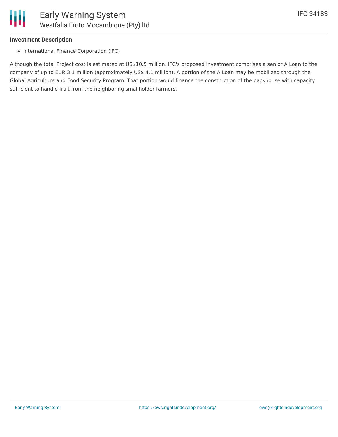## **Investment Description**

• International Finance Corporation (IFC)

Although the total Project cost is estimated at US\$10.5 million, IFC's proposed investment comprises a senior A Loan to the company of up to EUR 3.1 million (approximately US\$ 4.1 million). A portion of the A Loan may be mobilized through the Global Agriculture and Food Security Program. That portion would finance the construction of the packhouse with capacity sufficient to handle fruit from the neighboring smallholder farmers.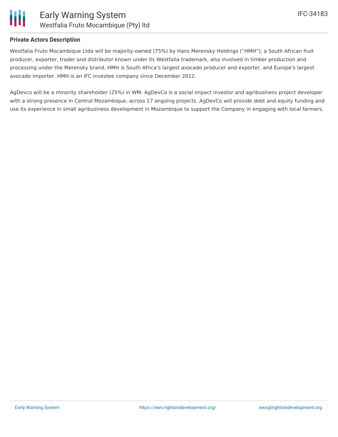

## **Private Actors Description**

Westfalia Fruto Mocambique Ltda will be majority-owned (75%) by Hans Merensky Holdings ("HMH"), a South African fruit producer, exporter, trader and distributor known under its Westfalia trademark, also involved in timber production and processing under the Merensky brand. HMH is South Africa's largest avocado producer and exporter, and Europe's largest avocado importer. HMH is an IFC investee company since December 2012.

AgDevco will be a minority shareholder (25%) in WM. AgDevCo is a social impact investor and agribusiness project developer with a strong presence in Central Mozambique, across 17 ongoing projects. AgDevCo will provide debt and equity funding and use its experience in small agribusiness development in Mozambique to support the Company in engaging with local farmers.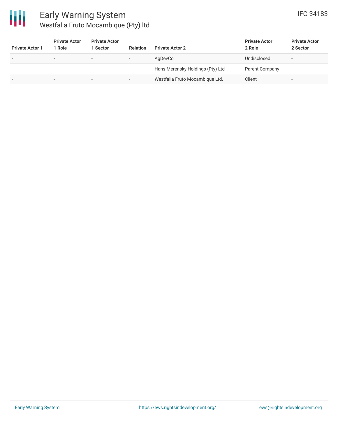

| <b>Private Actor 1</b>   | <b>Private Actor</b><br>Role | <b>Private Actor</b><br>1 Sector | <b>Relation</b>          | <b>Private Actor 2</b>           | <b>Private Actor</b><br>2 Role | <b>Private Actor</b><br>2 Sector |
|--------------------------|------------------------------|----------------------------------|--------------------------|----------------------------------|--------------------------------|----------------------------------|
| $\,$                     | $\overline{\phantom{0}}$     | $\overline{\phantom{0}}$         | $\overline{\phantom{a}}$ | AgDevCo                          | Undisclosed                    | $\overline{\phantom{a}}$         |
| $\overline{\phantom{a}}$ | $\overline{\phantom{0}}$     | $\overline{\phantom{a}}$         | $\overline{\phantom{a}}$ | Hans Merensky Holdings (Pty) Ltd | Parent Company                 | $\overline{\phantom{a}}$         |
| ٠                        | $\overline{\phantom{0}}$     | $\overline{\phantom{0}}$         | $\overline{\phantom{a}}$ | Westfalia Fruto Mocambique Ltd.  | Client                         | $\overline{\phantom{a}}$         |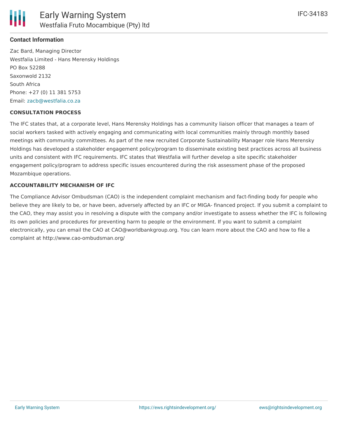

## **Contact Information**

Zac Bard, Managing Director Westfalia Limited - Hans Merensky Holdings PO Box 52288 Saxonwold 2132 South Africa Phone: +27 (0) 11 381 5753 Email: [zacb@westfalia.co.za](mailto:zacb@westfalia.co.za)

### **CONSULTATION PROCESS**

The IFC states that, at a corporate level, Hans Merensky Holdings has a community liaison officer that manages a team of social workers tasked with actively engaging and communicating with local communities mainly through monthly based meetings with community committees. As part of the new recruited Corporate Sustainability Manager role Hans Merensky Holdings has developed a stakeholder engagement policy/program to disseminate existing best practices across all business units and consistent with IFC requirements. IFC states that Westfalia will further develop a site specific stakeholder engagement policy/program to address specific issues encountered during the risk assessment phase of the proposed Mozambique operations.

### **ACCOUNTABILITY MECHANISM OF IFC**

The Compliance Advisor Ombudsman (CAO) is the independent complaint mechanism and fact-finding body for people who believe they are likely to be, or have been, adversely affected by an IFC or MIGA- financed project. If you submit a complaint to the CAO, they may assist you in resolving a dispute with the company and/or investigate to assess whether the IFC is following its own policies and procedures for preventing harm to people or the environment. If you want to submit a complaint electronically, you can email the CAO at CAO@worldbankgroup.org. You can learn more about the CAO and how to file a complaint at http://www.cao-ombudsman.org/